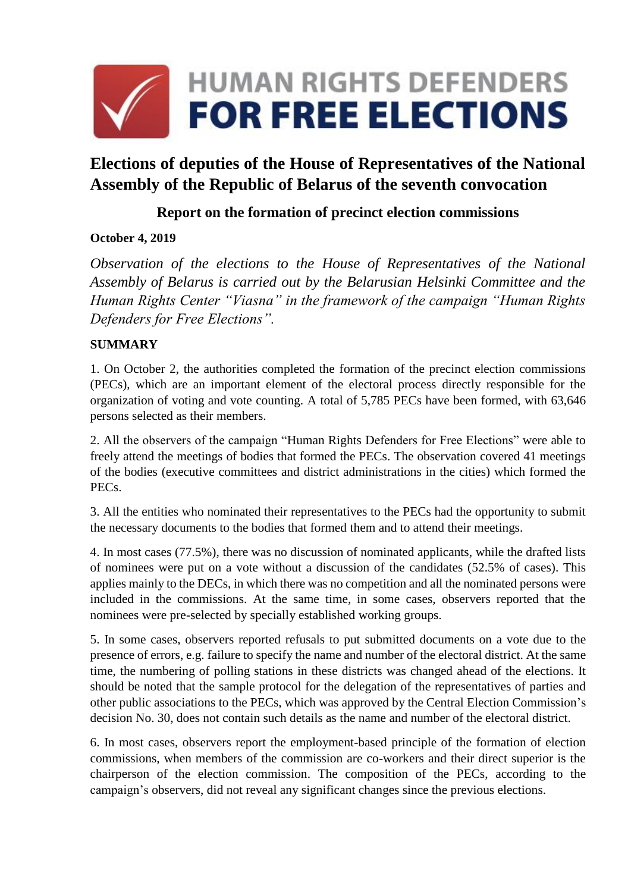

# **Elections of deputies of the House of Representatives of the National Assembly of the Republic of Belarus of the seventh convocation**

# **Report on the formation of precinct election commissions**

# **October 4, 2019**

*Observation of the elections to the House of Representatives of the National Assembly of Belarus is carried out by the Belarusian Helsinki Committee and the Human Rights Center "Viasna" in the framework of the campaign "Human Rights Defenders for Free Elections".*

# **SUMMARY**

1. On October 2, the authorities completed the formation of the precinct election commissions (PECs), which are an important element of the electoral process directly responsible for the organization of voting and vote counting. A total of 5,785 PECs have been formed, with 63,646 persons selected as their members.

2. All the observers of the campaign "Human Rights Defenders for Free Elections" were able to freely attend the meetings of bodies that formed the PECs. The observation covered 41 meetings of the bodies (executive committees and district administrations in the cities) which formed the PECs.

3. All the entities who nominated their representatives to the PECs had the opportunity to submit the necessary documents to the bodies that formed them and to attend their meetings.

4. In most cases (77.5%), there was no discussion of nominated applicants, while the drafted lists of nominees were put on a vote without a discussion of the candidates (52.5% of cases). This applies mainly to the DECs, in which there was no competition and all the nominated persons were included in the commissions. At the same time, in some cases, observers reported that the nominees were pre-selected by specially established working groups.

5. In some cases, observers reported refusals to put submitted documents on a vote due to the presence of errors, e.g. failure to specify the name and number of the electoral district. At the same time, the numbering of polling stations in these districts was changed ahead of the elections. It should be noted that the sample protocol for the delegation of the representatives of parties and other public associations to the PECs, which was approved by the Central Election Commission's decision No. 30, does not contain such details as the name and number of the electoral district.

6. In most cases, observers report the employment-based principle of the formation of election commissions, when members of the commission are co-workers and their direct superior is the chairperson of the election commission. The composition of the PECs, according to the campaign's observers, did not reveal any significant changes since the previous elections.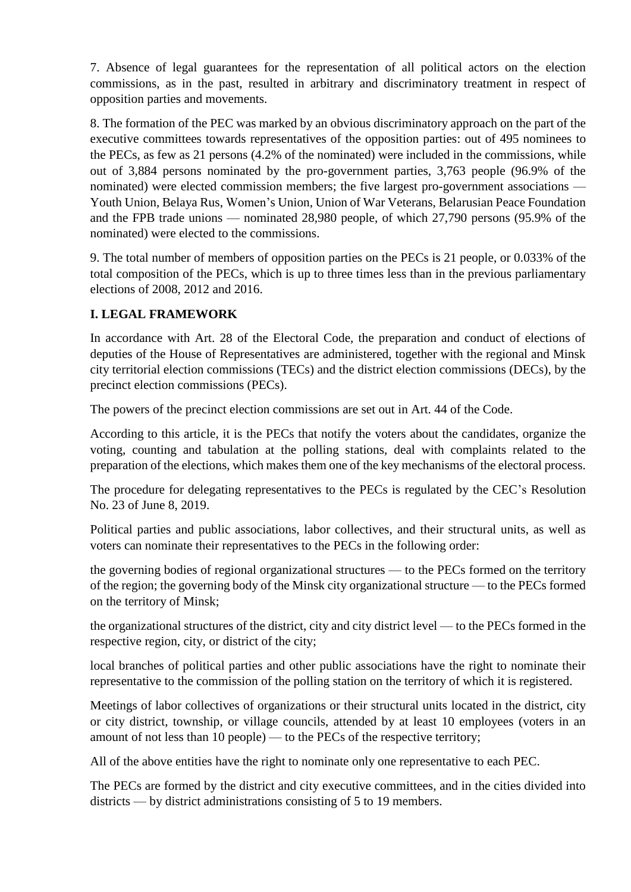7. Absence of legal guarantees for the representation of all political actors on the election commissions, as in the past, resulted in arbitrary and discriminatory treatment in respect of opposition parties and movements.

8. The formation of the PEC was marked by an obvious discriminatory approach on the part of the executive committees towards representatives of the opposition parties: out of 495 nominees to the PECs, as few as 21 persons (4.2% of the nominated) were included in the commissions, while out of 3,884 persons nominated by the pro-government parties, 3,763 people (96.9% of the nominated) were elected commission members; the five largest pro-government associations — Youth Union, Belaya Rus, Women's Union, Union of War Veterans, Belarusian Peace Foundation and the FPB trade unions — nominated 28,980 people, of which 27,790 persons (95.9% of the nominated) were elected to the commissions.

9. The total number of members of opposition parties on the PECs is 21 people, or 0.033% of the total composition of the PECs, which is up to three times less than in the previous parliamentary elections of 2008, 2012 and 2016.

#### **I. LEGAL FRAMEWORK**

In accordance with Art. 28 of the Electoral Code, the preparation and conduct of elections of deputies of the House of Representatives are administered, together with the regional and Minsk city territorial election commissions (TECs) and the district election commissions (DECs), by the precinct election commissions (PECs).

The powers of the precinct election commissions are set out in Art. 44 of the Code.

According to this article, it is the PECs that notify the voters about the candidates, organize the voting, counting and tabulation at the polling stations, deal with complaints related to the preparation of the elections, which makes them one of the key mechanisms of the electoral process.

The procedure for delegating representatives to the PECs is regulated by the CEC's Resolution No. 23 of June 8, 2019.

Political parties and public associations, labor collectives, and their structural units, as well as voters can nominate their representatives to the PECs in the following order:

the governing bodies of regional organizational structures — to the PECs formed on the territory of the region; the governing body of the Minsk city organizational structure — to the PECs formed on the territory of Minsk;

the organizational structures of the district, city and city district level — to the PECs formed in the respective region, city, or district of the city;

local branches of political parties and other public associations have the right to nominate their representative to the commission of the polling station on the territory of which it is registered.

Meetings of labor collectives of organizations or their structural units located in the district, city or city district, township, or village councils, attended by at least 10 employees (voters in an amount of not less than 10 people) — to the PECs of the respective territory;

All of the above entities have the right to nominate only one representative to each PEC.

The PECs are formed by the district and city executive committees, and in the cities divided into districts — by district administrations consisting of 5 to 19 members.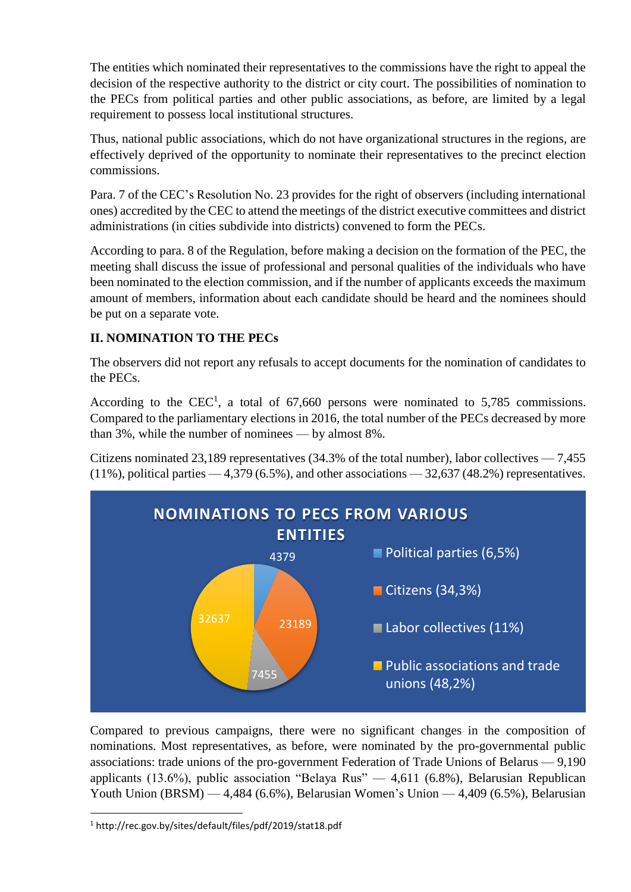The entities which nominated their representatives to the commissions have the right to appeal the decision of the respective authority to the district or city court. The possibilities of nomination to the PECs from political parties and other public associations, as before, are limited by a legal requirement to possess local institutional structures.

Thus, national public associations, which do not have organizational structures in the regions, are effectively deprived of the opportunity to nominate their representatives to the precinct election commissions.

Para. 7 of the CEC's Resolution No. 23 provides for the right of observers (including international ones) accredited by the CEC to attend the meetings of the district executive committees and district administrations (in cities subdivide into districts) convened to form the PECs.

According to para. 8 of the Regulation, before making a decision on the formation of the PEC, the meeting shall discuss the issue of professional and personal qualities of the individuals who have been nominated to the election commission, and if the number of applicants exceeds the maximum amount of members, information about each candidate should be heard and the nominees should be put on a separate vote.

# **II. NOMINATION TO THE PECs**

The observers did not report any refusals to accept documents for the nomination of candidates to the PECs.

According to the CEC<sup>1</sup>, a total of 67,660 persons were nominated to 5,785 commissions. Compared to the parliamentary elections in 2016, the total number of the PECs decreased by more than 3%, while the number of nominees — by almost 8%.

Citizens nominated 23,189 representatives (34.3% of the total number), labor collectives — 7,455  $(11\%)$ , political parties  $-4,379$   $(6.5\%)$ , and other associations  $-32,637$   $(48.2\%)$  representatives.



Compared to previous campaigns, there were no significant changes in the composition of nominations. Most representatives, as before, were nominated by the pro-governmental public associations: trade unions of the pro-government Federation of Trade Unions of Belarus — 9,190 applicants (13.6%), public association "Belaya Rus" — 4,611 (6.8%), Belarusian Republican Youth Union (BRSM) — 4,484 (6.6%), Belarusian Women's Union — 4,409 (6.5%), Belarusian

**.** 

<sup>1</sup> http://rec.gov.by/sites/default/files/pdf/2019/stat18.pdf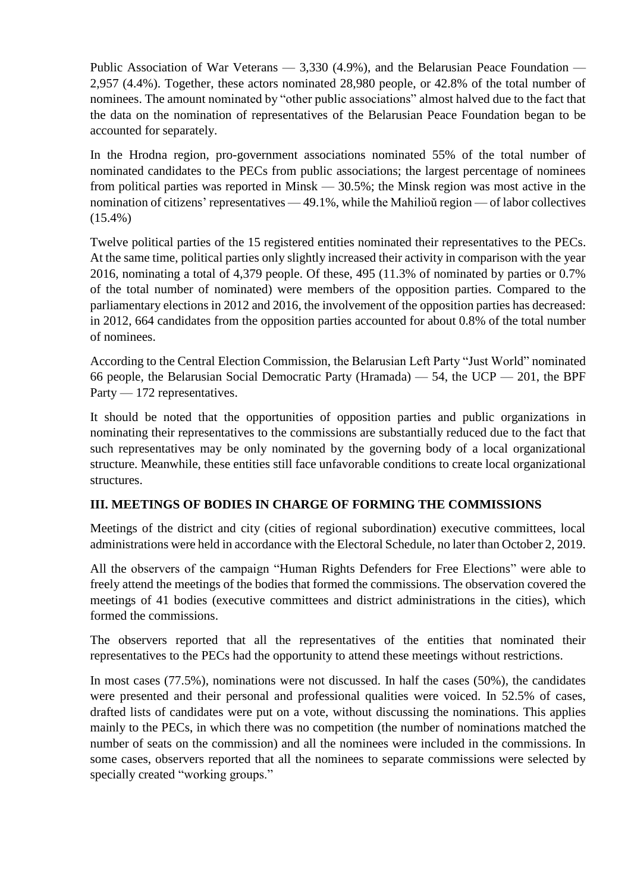Public Association of War Veterans — 3,330 (4.9%), and the Belarusian Peace Foundation — 2,957 (4.4%). Together, these actors nominated 28,980 people, or 42.8% of the total number of nominees. The amount nominated by "other public associations" almost halved due to the fact that the data on the nomination of representatives of the Belarusian Peace Foundation began to be accounted for separately.

In the Hrodna region, pro-government associations nominated 55% of the total number of nominated candidates to the PECs from public associations; the largest percentage of nominees from political parties was reported in Minsk — 30.5%; the Minsk region was most active in the nomination of citizens' representatives — 49.1%, while the Mahilioŭ region — of labor collectives (15.4%)

Twelve political parties of the 15 registered entities nominated their representatives to the PECs. At the same time, political parties only slightly increased their activity in comparison with the year 2016, nominating a total of 4,379 people. Of these, 495 (11.3% of nominated by parties or 0.7% of the total number of nominated) were members of the opposition parties. Compared to the parliamentary elections in 2012 and 2016, the involvement of the opposition parties has decreased: in 2012, 664 candidates from the opposition parties accounted for about 0.8% of the total number of nominees.

According to the Central Election Commission, the Belarusian Left Party "Just World" nominated 66 people, the Belarusian Social Democratic Party (Hramada) — 54, the UCP — 201, the BPF Party — 172 representatives.

It should be noted that the opportunities of opposition parties and public organizations in nominating their representatives to the commissions are substantially reduced due to the fact that such representatives may be only nominated by the governing body of a local organizational structure. Meanwhile, these entities still face unfavorable conditions to create local organizational structures.

# **III. MEETINGS OF BODIES IN CHARGE OF FORMING THE COMMISSIONS**

Meetings of the district and city (cities of regional subordination) executive committees, local administrations were held in accordance with the Electoral Schedule, no later than October 2, 2019.

All the observers of the campaign "Human Rights Defenders for Free Elections" were able to freely attend the meetings of the bodies that formed the commissions. The observation covered the meetings of 41 bodies (executive committees and district administrations in the cities), which formed the commissions.

The observers reported that all the representatives of the entities that nominated their representatives to the PECs had the opportunity to attend these meetings without restrictions.

In most cases (77.5%), nominations were not discussed. In half the cases (50%), the candidates were presented and their personal and professional qualities were voiced. In 52.5% of cases, drafted lists of candidates were put on a vote, without discussing the nominations. This applies mainly to the PECs, in which there was no competition (the number of nominations matched the number of seats on the commission) and all the nominees were included in the commissions. In some cases, observers reported that all the nominees to separate commissions were selected by specially created "working groups."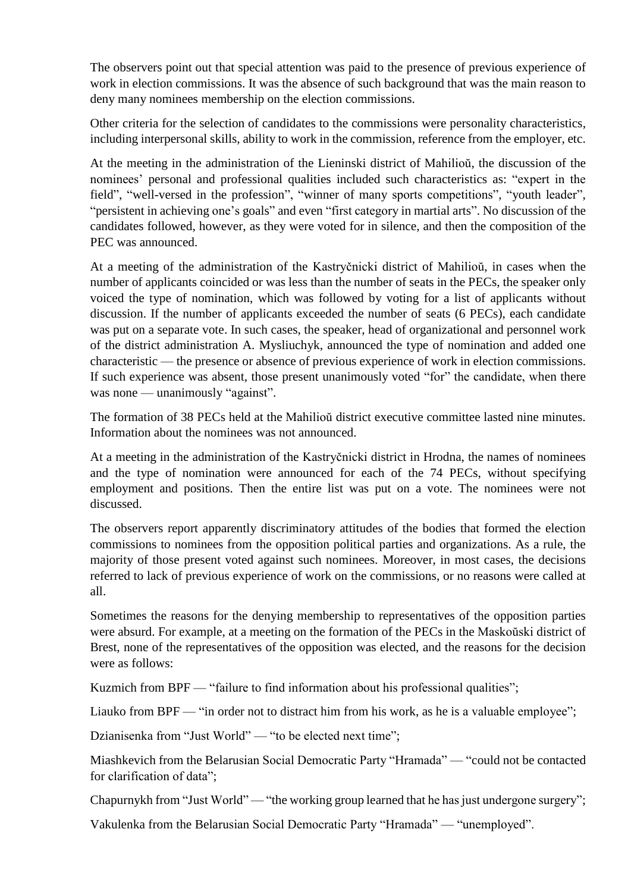The observers point out that special attention was paid to the presence of previous experience of work in election commissions. It was the absence of such background that was the main reason to deny many nominees membership on the election commissions.

Other criteria for the selection of candidates to the commissions were personality characteristics, including interpersonal skills, ability to work in the commission, reference from the employer, etc.

At the meeting in the administration of the Lieninski district of Mahilioŭ, the discussion of the nominees' personal and professional qualities included such characteristics as: "expert in the field", "well-versed in the profession", "winner of many sports competitions", "youth leader", "persistent in achieving one's goals" and even "first category in martial arts". No discussion of the candidates followed, however, as they were voted for in silence, and then the composition of the PEC was announced.

At a meeting of the administration of the Kastryčnicki district of Mahilioŭ, in cases when the number of applicants coincided or was less than the number of seats in the PECs, the speaker only voiced the type of nomination, which was followed by voting for a list of applicants without discussion. If the number of applicants exceeded the number of seats (6 PECs), each candidate was put on a separate vote. In such cases, the speaker, head of organizational and personnel work of the district administration A. Mysliuchyk, announced the type of nomination and added one characteristic — the presence or absence of previous experience of work in election commissions. If such experience was absent, those present unanimously voted "for" the candidate, when there was none — unanimously "against".

The formation of 38 PECs held at the Mahilioŭ district executive committee lasted nine minutes. Information about the nominees was not announced.

At a meeting in the administration of the Kastryčnicki district in Hrodna, the names of nominees and the type of nomination were announced for each of the 74 PECs, without specifying employment and positions. Then the entire list was put on a vote. The nominees were not discussed.

The observers report apparently discriminatory attitudes of the bodies that formed the election commissions to nominees from the opposition political parties and organizations. As a rule, the majority of those present voted against such nominees. Moreover, in most cases, the decisions referred to lack of previous experience of work on the commissions, or no reasons were called at all.

Sometimes the reasons for the denying membership to representatives of the opposition parties were absurd. For example, at a meeting on the formation of the PECs in the Maskoŭski district of Brest, none of the representatives of the opposition was elected, and the reasons for the decision were as follows:

Kuzmich from BPF — "failure to find information about his professional qualities";

Liauko from BPF — "in order not to distract him from his work, as he is a valuable employee";

Dzianisenka from "Just World" — "to be elected next time";

Miashkevich from the Belarusian Social Democratic Party "Hramada" — "could not be contacted for clarification of data";

Chapurnykh from "Just World" — "the working group learned that he has just undergone surgery";

Vakulenka from the Belarusian Social Democratic Party "Hramada" — "unemployed".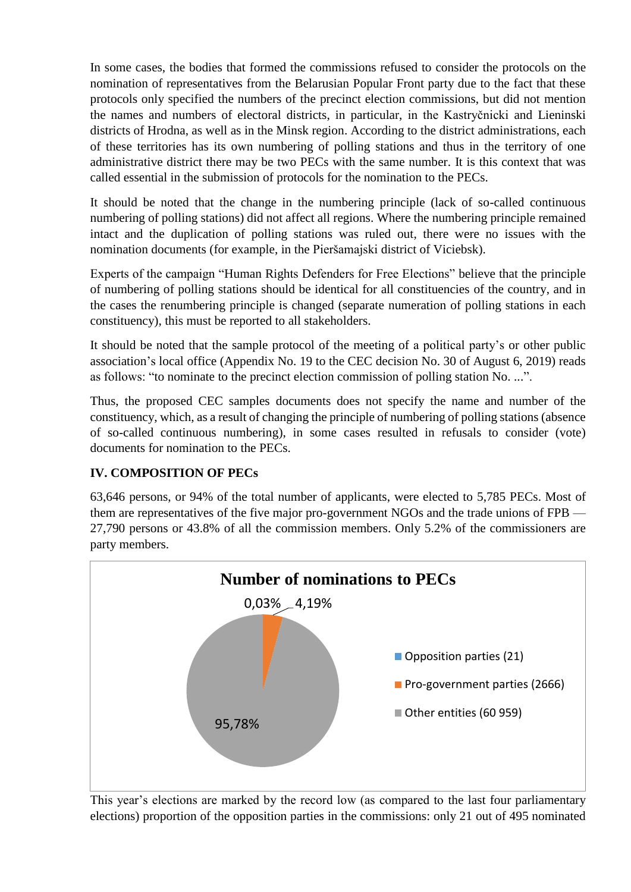In some cases, the bodies that formed the commissions refused to consider the protocols on the nomination of representatives from the Belarusian Popular Front party due to the fact that these protocols only specified the numbers of the precinct election commissions, but did not mention the names and numbers of electoral districts, in particular, in the Kastryčnicki and Lieninski districts of Hrodna, as well as in the Minsk region. According to the district administrations, each of these territories has its own numbering of polling stations and thus in the territory of one administrative district there may be two PECs with the same number. It is this context that was called essential in the submission of protocols for the nomination to the PECs.

It should be noted that the change in the numbering principle (lack of so-called continuous numbering of polling stations) did not affect all regions. Where the numbering principle remained intact and the duplication of polling stations was ruled out, there were no issues with the nomination documents (for example, in the Pieršamajski district of Viciebsk).

Experts of the campaign "Human Rights Defenders for Free Elections" believe that the principle of numbering of polling stations should be identical for all constituencies of the country, and in the cases the renumbering principle is changed (separate numeration of polling stations in each constituency), this must be reported to all stakeholders.

It should be noted that the sample protocol of the meeting of a political party's or other public association's local office (Appendix No. 19 to the CEC decision No. 30 of August 6, 2019) reads as follows: "to nominate to the precinct election commission of polling station No. ...".

Thus, the proposed CEC samples documents does not specify the name and number of the constituency, which, as a result of changing the principle of numbering of polling stations (absence of so-called continuous numbering), in some cases resulted in refusals to consider (vote) documents for nomination to the PECs.

# **IV. COMPOSITION OF PECs**

63,646 persons, or 94% of the total number of applicants, were elected to 5,785 PECs. Most of them are representatives of the five major pro-government NGOs and the trade unions of FPB — 27,790 persons or 43.8% of all the commission members. Only 5.2% of the commissioners are party members.



This year's elections are marked by the record low (as compared to the last four parliamentary elections) proportion of the opposition parties in the commissions: only 21 out of 495 nominated